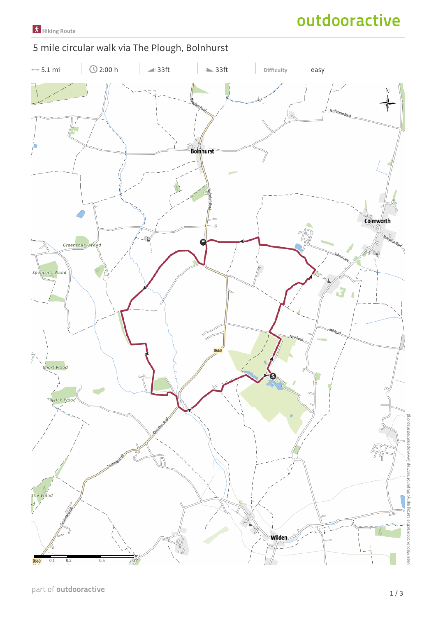outdooractive

## 5 mile circular walk via The Plough, Bolnhurst

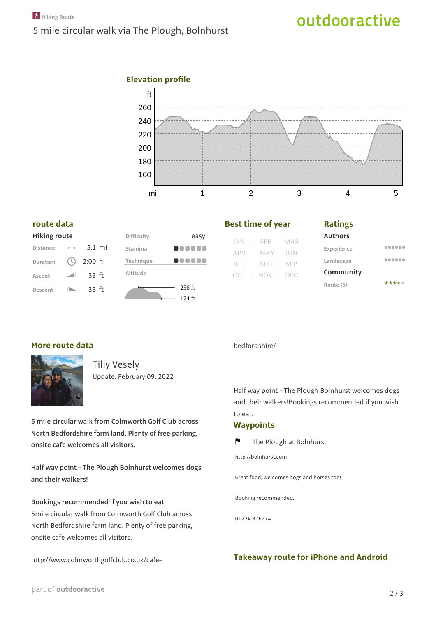# outdooractive





#### **route data**

|  |  | <b>Hiking route</b> |
|--|--|---------------------|
|  |  |                     |
|  |  |                     |

| <b>Distance</b> |                           | $5.1$ mi         |  |
|-----------------|---------------------------|------------------|--|
| <b>Duration</b> | $\left(\mathbb{Q}\right)$ | 2:00 h           |  |
| Ascent          |                           | 33 <sub>ft</sub> |  |
| Descent         |                           | 33 <sub>ft</sub> |  |



| <b>Best time of year</b> |  |
|--------------------------|--|
|--------------------------|--|

|  | JAN   FEB   MAR |  |
|--|-----------------|--|
|  | APR   MAY   JUN |  |
|  | JUL   AUG   SEP |  |
|  | OCT   NOV   DEC |  |
|  |                 |  |

| ı<br>. .<br>×<br>۰,<br>M.<br>٧ |
|--------------------------------|
|--------------------------------|

**Authors**

| Experience | ----- |
|------------|-------|
| Landscape  | .     |
| Community  |       |
| Route (6)  | ***** |

### **More route data**



Tilly Vesely Update: February 09, 2022

**5 mile circular walk from Colmworth Golf Club across North Bedfordshire farm land. Plenty of free parking, onsite cafe welcomes all visitors.**

**Half way point - The Plough Bolnhurst welcomes dogs and their walkers!**

**Bookings recommended if you wish to eat.** 5mile circular walk from Colmworth Golf Club across North Bedfordshire farm land. Plenty of free parking, onsite cafe welcomes all visitors.

http://www.colmworthgolfclub.co.uk/cafe-

#### bedfordshire/

Half way point - The Plough Bolnhurst welcomes dogs and their walkers!Bookings recommended if you wish to eat.

#### **Waypoints**

 $\mathbf{r}$ The Plough at Bolnhurst

http://bolnhurst.com

Great food, welcomes dogs and horses too!

Booking recommended.

01234 376274

### **Takeaway route for iPhone and Android**